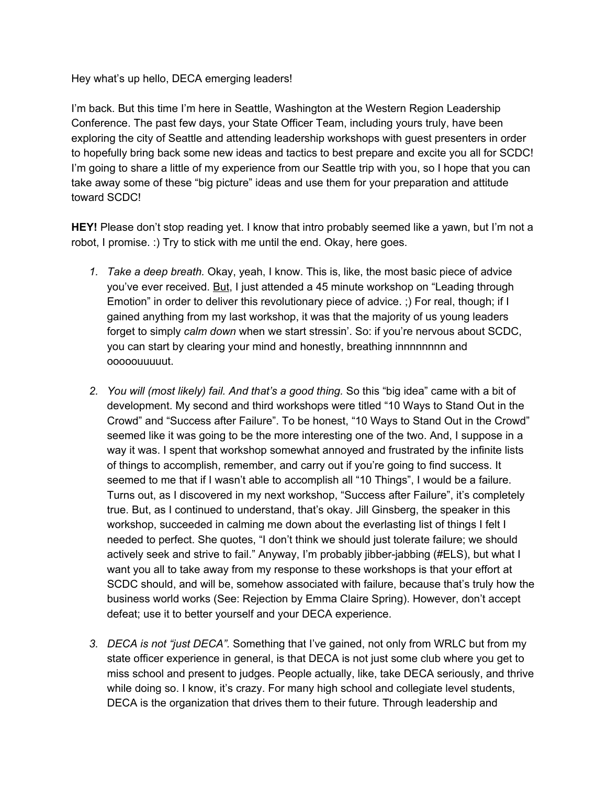Hey what's up hello, DECA emerging leaders!

I'm back. But this time I'm here in Seattle, Washington at the Western Region Leadership Conference. The past few days, your State Officer Team, including yours truly, have been exploring the city of Seattle and attending leadership workshops with guest presenters in order to hopefully bring back some new ideas and tactics to best prepare and excite you all for SCDC! I'm going to share a little of my experience from our Seattle trip with you, so I hope that you can take away some of these "big picture" ideas and use them for your preparation and attitude toward SCDC!

**HEY!** Please don't stop reading yet. I know that intro probably seemed like a yawn, but I'm not a robot, I promise. :) Try to stick with me until the end. Okay, here goes.

- *1. Take a deep breath.* Okay, yeah, I know. This is, like, the most basic piece of advice you've ever received. But, I just attended a 45 minute workshop on "Leading through Emotion" in order to deliver this revolutionary piece of advice. ;) For real, though; if I gained anything from my last workshop, it was that the majority of us young leaders forget to simply *calm down* when we start stressin'. So: if you're nervous about SCDC, you can start by clearing your mind and honestly, breathing innnnnnnn and ooooouuuuut.
- *2. You will (most likely) fail. And that's a good thing.* So this "big idea" came with a bit of development. My second and third workshops were titled "10 Ways to Stand Out in the Crowd" and "Success after Failure". To be honest, "10 Ways to Stand Out in the Crowd" seemed like it was going to be the more interesting one of the two. And, I suppose in a way it was. I spent that workshop somewhat annoyed and frustrated by the infinite lists of things to accomplish, remember, and carry out if you're going to find success. It seemed to me that if I wasn't able to accomplish all "10 Things", I would be a failure. Turns out, as I discovered in my next workshop, "Success after Failure", it's completely true. But, as I continued to understand, that's okay. Jill Ginsberg, the speaker in this workshop, succeeded in calming me down about the everlasting list of things I felt I needed to perfect. She quotes, "I don't think we should just tolerate failure; we should actively seek and strive to fail." Anyway, I'm probably jibber-jabbing (#ELS), but what I want you all to take away from my response to these workshops is that your effort at SCDC should, and will be, somehow associated with failure, because that's truly how the business world works (See: Rejection by Emma Claire Spring). However, don't accept defeat; use it to better yourself and your DECA experience.
- *3. DECA is not "just DECA".* Something that I've gained, not only from WRLC but from my state officer experience in general, is that DECA is not just some club where you get to miss school and present to judges. People actually, like, take DECA seriously, and thrive while doing so. I know, it's crazy. For many high school and collegiate level students, DECA is the organization that drives them to their future. Through leadership and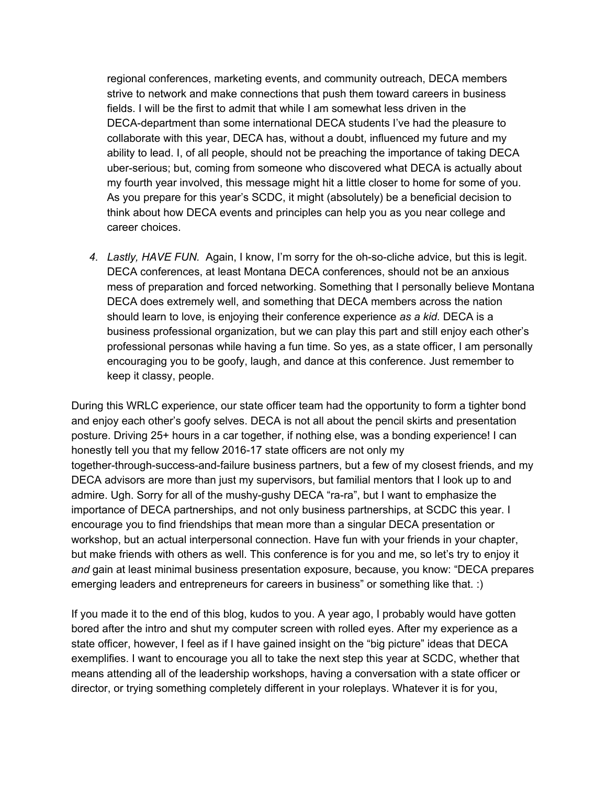regional conferences, marketing events, and community outreach, DECA members strive to network and make connections that push them toward careers in business fields. I will be the first to admit that while I am somewhat less driven in the DECA-department than some international DECA students I've had the pleasure to collaborate with this year, DECA has, without a doubt, influenced my future and my ability to lead. I, of all people, should not be preaching the importance of taking DECA uber-serious; but, coming from someone who discovered what DECA is actually about my fourth year involved, this message might hit a little closer to home for some of you. As you prepare for this year's SCDC, it might (absolutely) be a beneficial decision to think about how DECA events and principles can help you as you near college and career choices.

*4. Lastly, HAVE FUN.* Again, I know, I'm sorry for the oh-so-cliche advice, but this is legit. DECA conferences, at least Montana DECA conferences, should not be an anxious mess of preparation and forced networking. Something that I personally believe Montana DECA does extremely well, and something that DECA members across the nation should learn to love, is enjoying their conference experience *as a kid.* DECA is a business professional organization, but we can play this part and still enjoy each other's professional personas while having a fun time. So yes, as a state officer, I am personally encouraging you to be goofy, laugh, and dance at this conference. Just remember to keep it classy, people.

During this WRLC experience, our state officer team had the opportunity to form a tighter bond and enjoy each other's goofy selves. DECA is not all about the pencil skirts and presentation posture. Driving 25+ hours in a car together, if nothing else, was a bonding experience! I can honestly tell you that my fellow 2016-17 state officers are not only my together-through-success-and-failure business partners, but a few of my closest friends, and my DECA advisors are more than just my supervisors, but familial mentors that I look up to and admire. Ugh. Sorry for all of the mushy-gushy DECA "ra-ra", but I want to emphasize the importance of DECA partnerships, and not only business partnerships, at SCDC this year. I encourage you to find friendships that mean more than a singular DECA presentation or workshop, but an actual interpersonal connection. Have fun with your friends in your chapter, but make friends with others as well. This conference is for you and me, so let's try to enjoy it *and* gain at least minimal business presentation exposure, because, you know: "DECA prepares emerging leaders and entrepreneurs for careers in business" or something like that. :)

If you made it to the end of this blog, kudos to you. A year ago, I probably would have gotten bored after the intro and shut my computer screen with rolled eyes. After my experience as a state officer, however, I feel as if I have gained insight on the "big picture" ideas that DECA exemplifies. I want to encourage you all to take the next step this year at SCDC, whether that means attending all of the leadership workshops, having a conversation with a state officer or director, or trying something completely different in your roleplays. Whatever it is for you,